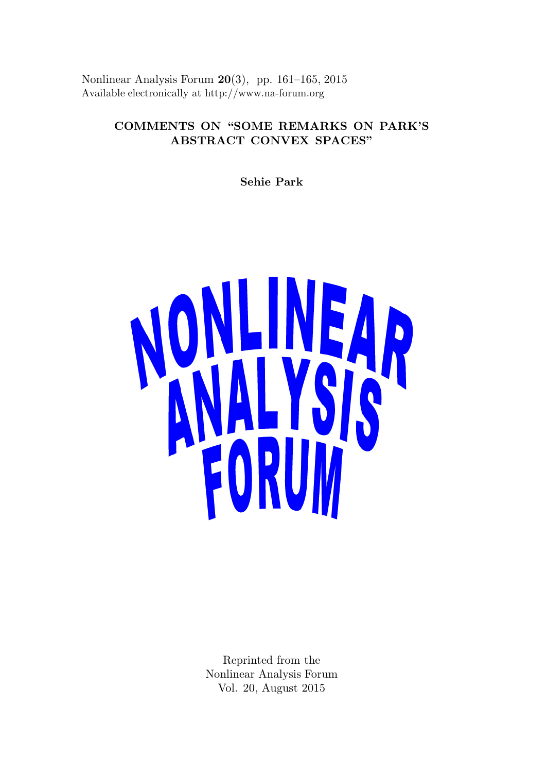Nonlinear Analysis Forum 20(3), pp. 161–165, 2015 Available electronically at http://www.na-forum.org

# COMMENTS ON "SOME REMARKS ON PARK'S ABSTRACT CONVEX SPACES"

Sehie Park



Reprinted from the Nonlinear Analysis Forum Vol. 20, August 2015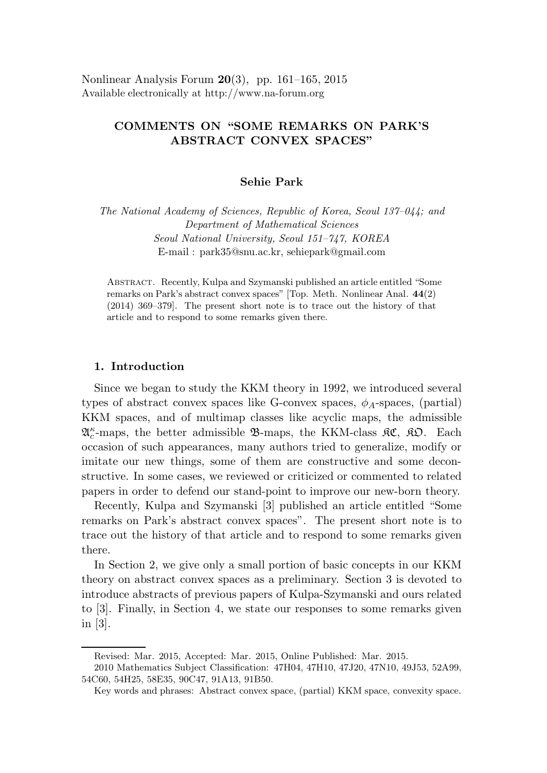Nonlinear Analysis Forum  $20(3)$ , pp. 161–165, 2015 Available electronically at http://www.na-forum.org

## COMMENTS ON "SOME REMARKS ON PARK'S ABSTRACT CONVEX SPACES"

## Sehie Park

The National Academy of Sciences, Republic of Korea, Seoul 137–044; and Department of Mathematical Sciences Seoul National University, Seoul 151–747, KOREA E-mail : park35@snu.ac.kr, sehiepark@gmail.com

ABSTRACT. Recently, Kulpa and Szymanski published an article entitled "Some remarks on Park's abstract convex spaces" [Top. Meth. Nonlinear Anal. 44(2) (2014) 369–379]. The present short note is to trace out the history of that article and to respond to some remarks given there.

#### 1. Introduction

Since we began to study the KKM theory in 1992, we introduced several types of abstract convex spaces like G-convex spaces,  $\phi_A$ -spaces, (partial) KKM spaces, and of multimap classes like acyclic maps, the admissible  $\mathfrak{A}^{\kappa}_{c}$ -maps, the better admissible  $\mathfrak{B}$ -maps, the KKM-class  $\mathfrak{K}C$ ,  $\mathfrak{K}D$ . Each occasion of such appearances, many authors tried to generalize, modify or imitate our new things, some of them are constructive and some deconstructive. In some cases, we reviewed or criticized or commented to related papers in order to defend our stand-point to improve our new-born theory.

Recently, Kulpa and Szymanski [3] published an article entitled "Some remarks on Park's abstract convex spaces". The present short note is to trace out the history of that article and to respond to some remarks given there.

In Section 2, we give only a small portion of basic concepts in our KKM theory on abstract convex spaces as a preliminary. Section 3 is devoted to introduce abstracts of previous papers of Kulpa-Szymanski and ours related to [3]. Finally, in Section 4, we state our responses to some remarks given in [3].

Revised: Mar. 2015, Accepted: Mar. 2015, Online Published: Mar. 2015.

<sup>2010</sup> Mathematics Subject Classification: 47H04, 47H10, 47J20, 47N10, 49J53, 52A99, 54C60, 54H25, 58E35, 90C47, 91A13, 91B50.

Key words and phrases: Abstract convex space, (partial) KKM space, convexity space.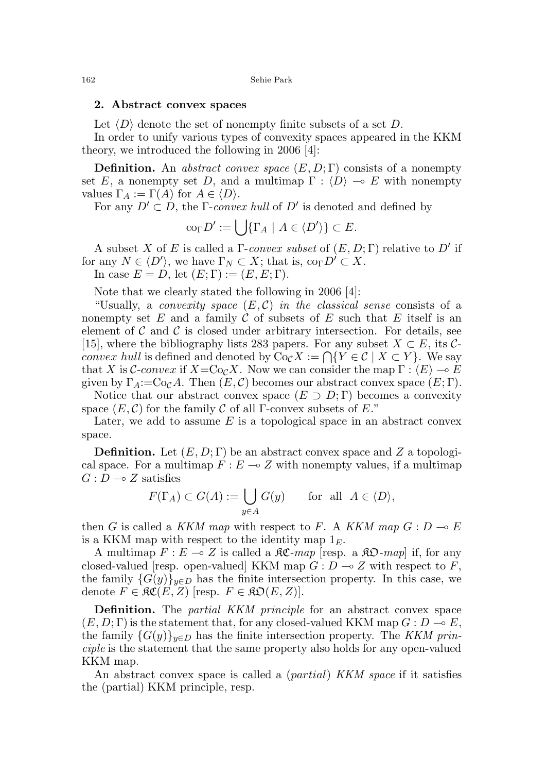#### 2. Abstract convex spaces

Let  $\langle D \rangle$  denote the set of nonempty finite subsets of a set D.

In order to unify various types of convexity spaces appeared in the KKM theory, we introduced the following in 2006 [4]:

**Definition.** An abstract convex space  $(E, D; \Gamma)$  consists of a nonempty set E, a nonempty set D, and a multimap  $\Gamma : \langle D \rangle \to E$  with nonempty values  $\Gamma_A := \Gamma(A)$  for  $A \in \langle D \rangle$ .

For any  $D' \subset D$ , the  $\Gamma$ -convex hull of  $D'$  is denoted and defined by

$$
\mathrm{co}_{\Gamma}D':=\bigcup\{\Gamma_A\mid A\in\langle D'\rangle\}\subset E.
$$

A subset X of E is called a  $\Gamma$ -convex subset of  $(E, D; \Gamma)$  relative to D' if for any  $N \in \langle D' \rangle$ , we have  $\Gamma_N \subset X$ ; that is,  $\text{co}_{\Gamma} D' \subset X$ . In case  $E = D$ , let  $(E; \Gamma) := (E, E; \Gamma)$ .

Note that we clearly stated the following in 2006 [4]:

"Usually, a *convexity space*  $(E, \mathcal{C})$  in the *classical sense* consists of a nonempty set E and a family C of subsets of E such that E itself is an element of  $\mathcal C$  and  $\mathcal C$  is closed under arbitrary intersection. For details, see [15], where the bibliography lists 283 papers. For any subset  $X \subset E$ , its C*convex hull* is defined and denoted by  $\text{Co}_{\mathcal{C}}X := \bigcap \{Y \in \mathcal{C} \mid X \subset Y\}$ . We say that X is C-convex if  $X = \text{Co}_\mathcal{C} X$ . Now we can consider the map  $\Gamma : \langle E \rangle \to E$ given by  $\Gamma_A:=\mathrm{Co}_\mathcal{C} A$ . Then  $(E,\mathcal{C})$  becomes our abstract convex space  $(E;\Gamma)$ .

Notice that our abstract convex space  $(E \supset D; \Gamma)$  becomes a convexity space  $(E, \mathcal{C})$  for the family  $\mathcal C$  of all Γ-convex subsets of E."

Later, we add to assume  $E$  is a topological space in an abstract convex space.

**Definition.** Let  $(E, D; \Gamma)$  be an abstract convex space and Z a topological space. For a multimap  $F : E \to Z$  with nonempty values, if a multimap  $G: D \longrightarrow Z$  satisfies

$$
F(\Gamma_A) \subset G(A) := \bigcup_{y \in A} G(y) \quad \text{for all } A \in \langle D \rangle,
$$

then G is called a KKM map with respect to F. A KKM map  $G: D \to E$ is a KKM map with respect to the identity map  $1<sub>E</sub>$ .

A multimap  $F : E \multimap Z$  is called a  $\Re \mathfrak{C}$ -map [resp. a  $\Re \mathfrak{D}$ -map] if, for any closed-valued [resp. open-valued] KKM map  $G: D \to Z$  with respect to F, the family  ${G(y)}_{y\in D}$  has the finite intersection property. In this case, we denote  $F \in \mathfrak{RC}(E, Z)$  [resp.  $F \in \mathfrak{RO}(E, Z)$ ].

**Definition.** The *partial KKM principle* for an abstract convex space  $(E, D; \Gamma)$  is the statement that, for any closed-valued KKM map  $G: D \to E$ , the family  $\{G(y)\}_{y\in D}$  has the finite intersection property. The KKM principle is the statement that the same property also holds for any open-valued KKM map.

An abstract convex space is called a *(partial) KKM space* if it satisfies the (partial) KKM principle, resp.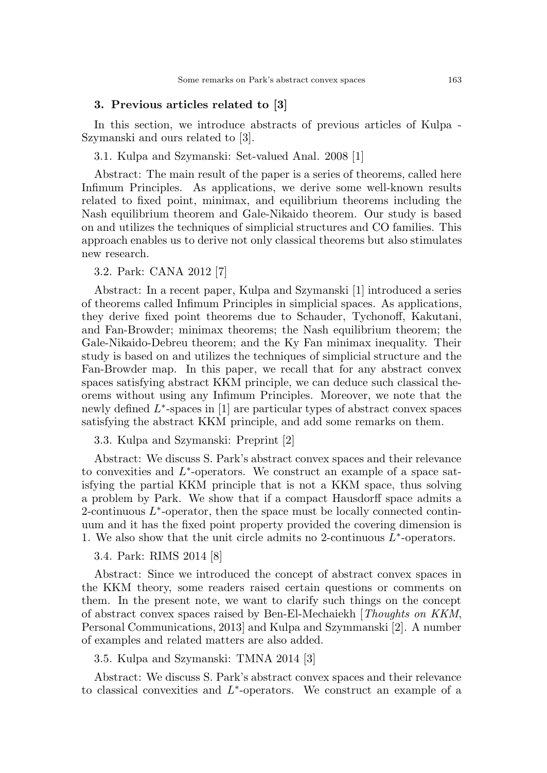### 3. Previous articles related to [3]

In this section, we introduce abstracts of previous articles of Kulpa - Szymanski and ours related to [3].

3.1. Kulpa and Szymanski: Set-valued Anal. 2008 [1]

Abstract: The main result of the paper is a series of theorems, called here Infimum Principles. As applications, we derive some well-known results related to fixed point, minimax, and equilibrium theorems including the Nash equilibrium theorem and Gale-Nikaido theorem. Our study is based on and utilizes the techniques of simplicial structures and CO families. This approach enables us to derive not only classical theorems but also stimulates new research.

3.2. Park: CANA 2012 [7]

Abstract: In a recent paper, Kulpa and Szymanski [1] introduced a series of theorems called Infimum Principles in simplicial spaces. As applications, they derive fixed point theorems due to Schauder, Tychonoff, Kakutani, and Fan-Browder; minimax theorems; the Nash equilibrium theorem; the Gale-Nikaido-Debreu theorem; and the Ky Fan minimax inequality. Their study is based on and utilizes the techniques of simplicial structure and the Fan-Browder map. In this paper, we recall that for any abstract convex spaces satisfying abstract KKM principle, we can deduce such classical theorems without using any Infimum Principles. Moreover, we note that the newly defined  $L^*$ -spaces in [1] are particular types of abstract convex spaces satisfying the abstract KKM principle, and add some remarks on them.

3.3. Kulpa and Szymanski: Preprint [2]

Abstract: We discuss S. Park's abstract convex spaces and their relevance to convexities and  $L^*$ -operators. We construct an example of a space satisfying the partial KKM principle that is not a KKM space, thus solving a problem by Park. We show that if a compact Hausdorff space admits a 2-continuous  $L^*$ -operator, then the space must be locally connected continuum and it has the fixed point property provided the covering dimension is 1. We also show that the unit circle admits no 2-continuous  $\widetilde{L}^*$ -operators.

3.4. Park: RIMS 2014 [8]

Abstract: Since we introduced the concept of abstract convex spaces in the KKM theory, some readers raised certain questions or comments on them. In the present note, we want to clarify such things on the concept of abstract convex spaces raised by Ben-El-Mechaiekh [Thoughts on KKM, Personal Communications, 2013] and Kulpa and Szymmanski [2]. A number of examples and related matters are also added.

3.5. Kulpa and Szymanski: TMNA 2014 [3]

Abstract: We discuss S. Park's abstract convex spaces and their relevance to classical convexities and  $L^*$ -operators. We construct an example of a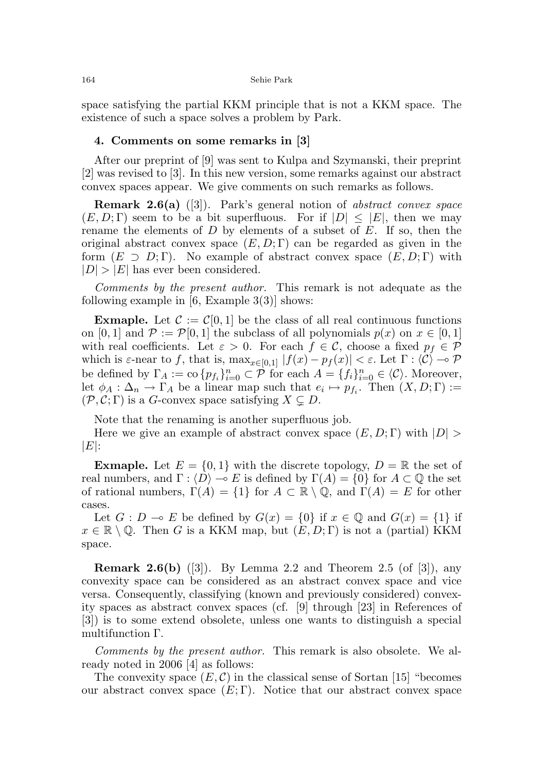space satisfying the partial KKM principle that is not a KKM space. The existence of such a space solves a problem by Park.

## 4. Comments on some remarks in [3]

After our preprint of [9] was sent to Kulpa and Szymanski, their preprint [2] was revised to [3]. In this new version, some remarks against our abstract convex spaces appear. We give comments on such remarks as follows.

**Remark 2.6(a)** ([3]). Park's general notion of *abstract convex space*  $(E, D; \Gamma)$  seem to be a bit superfluous. For if  $|D| \leq |E|$ , then we may rename the elements of  $D$  by elements of a subset of  $E$ . If so, then the original abstract convex space  $(E, D; \Gamma)$  can be regarded as given in the form  $(E \supset D; \Gamma)$ . No example of abstract convex space  $(E, D; \Gamma)$  with  $|D| > |E|$  has ever been considered.

Comments by the present author. This remark is not adequate as the following example in  $[6, \text{Example } 3(3)]$  shows:

**Exmaple.** Let  $\mathcal{C} := \mathcal{C}[0, 1]$  be the class of all real continuous functions on [0, 1] and  $\mathcal{P} := \mathcal{P}[0, 1]$  the subclass of all polynomials  $p(x)$  on  $x \in [0, 1]$ with real coefficients. Let  $\varepsilon > 0$ . For each  $f \in \mathcal{C}$ , choose a fixed  $p_f \in \mathcal{P}$ which is  $\varepsilon$ -near to f, that is,  $\max_{x \in [0,1]} |f(x) - p_f(x)| < \varepsilon$ . Let  $\Gamma : \langle C \rangle \to \mathcal{P}$ be defined by  $\Gamma_A := \text{co}\{p_{f_i}\}_{i=0}^n \subset \mathcal{P}$  for each  $A = \{f_i\}_{i=0}^n \in \langle \mathcal{C} \rangle$ . Moreover, let  $\phi_A : \Delta_n \to \Gamma_A$  be a linear map such that  $e_i \mapsto p_{f_i}$ . Then  $(X, D; \Gamma) :=$  $(\mathcal{P}, \mathcal{C}; \Gamma)$  is a G-convex space satisfying  $X \subsetneq D$ .

Note that the renaming is another superfluous job.

Here we give an example of abstract convex space  $(E, D; \Gamma)$  with  $|D| >$  $|E|$ :

**Exmaple.** Let  $E = \{0, 1\}$  with the discrete topology,  $D = \mathbb{R}$  the set of real numbers, and  $\Gamma : \langle D \rangle \to E$  is defined by  $\Gamma(A) = \{0\}$  for  $A \subset \mathbb{Q}$  the set of rational numbers,  $\Gamma(A) = \{1\}$  for  $A \subset \mathbb{R} \setminus \mathbb{Q}$ , and  $\Gamma(A) = E$  for other cases.

Let  $G : D \multimap E$  be defined by  $G(x) = \{0\}$  if  $x \in \mathbb{Q}$  and  $G(x) = \{1\}$  if  $x \in \mathbb{R} \setminus \mathbb{Q}$ . Then G is a KKM map, but  $(E, D; \Gamma)$  is not a (partial) KKM space.

**Remark 2.6(b)** ([3]). By Lemma 2.2 and Theorem 2.5 (of [3]), any convexity space can be considered as an abstract convex space and vice versa. Consequently, classifying (known and previously considered) convexity spaces as abstract convex spaces (cf. [9] through [23] in References of [3]) is to some extend obsolete, unless one wants to distinguish a special multifunction Γ.

Comments by the present author. This remark is also obsolete. We already noted in 2006 [4] as follows:

The convexity space  $(E, \mathcal{C})$  in the classical sense of Sortan [15] "becomes" our abstract convex space  $(E; \Gamma)$ . Notice that our abstract convex space